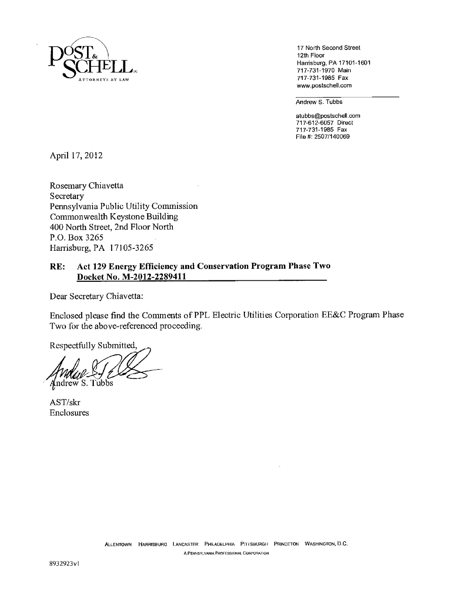

17 North Second Street 12th Floor Harrisburg, PA 17101-1601 717-731-1970 Main 717-731-1985 Fax www.postschell.com

Andrew S. Tubbs

atubbs@postschell.com 717-612-6057 Direct 717-731-1985 Fax File #: 25071140069

April 17, 2012

Rosemary Chiavetta Secretary Pennsylvania Public Utility Commission Commonwealth Keystone Building 400 North Street, 2nd Floor North P.O. Box 3265 Harrisburg, PA 17105-3265

# **RE: Act 129 Energy Efficiency and Conservation Program Phase Two Docket No. M-2012-2289411**

Dear Secretary Chiavetta:

Enclosed please find the Comments of PPL Electric Utilities Corporation EE&C Program Phase Two for the above-referenced proceeding.

Respectfully Submitted,

ndrew S. Tubbs

AST/skr Enclosures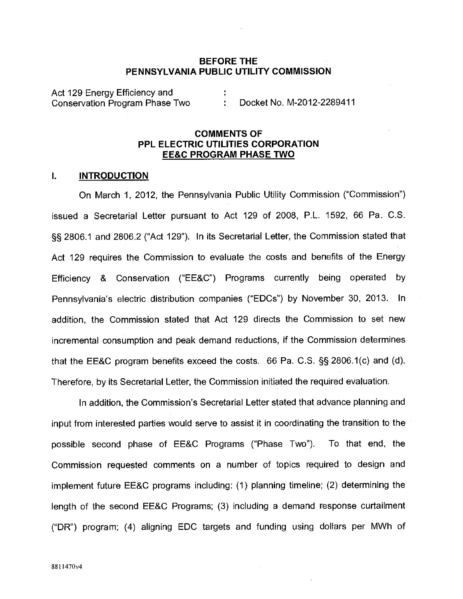## **BEFORE THE PENNSYLVANIA PUBLiC UTILITY COMMISSION**

Act 129 Energy Efficiency and Conservation Program Phase Two : Docket No. M-2012-2289411

## **COMMENTS OF PPL ELECTRIC UTILITIES CORPORATION EE&C PROGRAM PHASE TWO**

#### I. **INTRODUCTION**

On March 1, 2012, the Pennsylvania Public Utility Commission ("Commission") issued a Secretarial Letter pursuant to Act 129 of 2008, P.L. 1592, 66 Pa. C.S. §§ 2806.1 and 2806.2 ("Act 129"). In its Secretarial Letter, the Commission stated that Act 129 requires the Commission to evaluate the costs and benefits of the Energy Efficiency & Conservation ("EE&C") Programs currently being operated by Pennsylvania's electric distribution companies ("EDCs") by November 30, 2013. In addition, the Commission stated that Act 129 directs the Commission to set new incremental consumption and peak demand reductions, if the Commission determines that the EE&C program benefits exceed the costs. 66 Pa. C.S. §§ 2806.1(c) and (d). Therefore, by its Secretarial Letter, the Commission initiated the required evaluation.

In addition, the Commission's Secretarial Letter stated that advance planning and input from interested parties would serve to assist it in coordinating the transition to the possible second phase of EE&C Programs ("Phase Two"). To that end, the Commission requested comments on a number of topics required to design and implement future EE&C programs including: (1) planning timeline; (2) determining the length of the second EE&C Programs; (3) including a demand response curtailment ("DR") program; (4) aligning EDC targets and funding using dollars per MWh of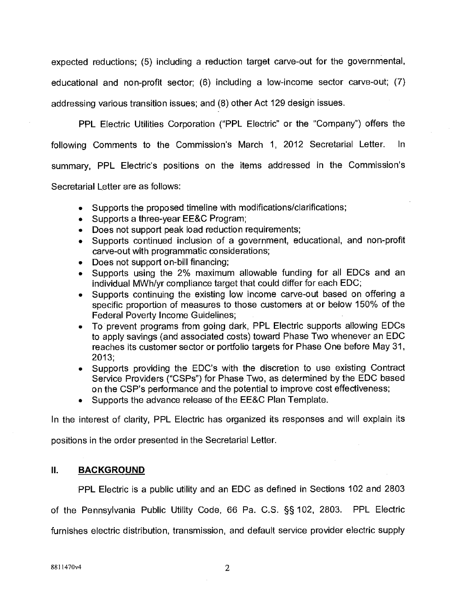expected reductions; (5) including a reduction target carve-out for the governmental, educational and non-profit sector; (6) including a low-income sector carve-out; (7) addressing various transition issues; and (8) other Act 129 design issues.

PPL Electric Utilities Corporation ("PPL Electric" or the "Company") offers the following Comments to the Commission's March 1, 2012 Secretarial Letter. ln summary, PPL Electric's positions on the items addressed in the Commission's Secretarial Letter are as follows:

- Supports the proposed timeline with modifications/clarifications;
- Supports a three-year EE&C Program;
- Does not support peak load reduction requirements;
- Supports continued inclusion of a government, educational, and non-profit carve-out with programmatic considerations;
- Does not support on-bill financing;
- Supports using the 2% maximum allowable funding for all EDCs and an individual MWh/yr compliance target that could differ for each EDC;
- Supports continuing the existing low income carve-out based on offering a specific proportion of measures to those customers at or below 150% of the Federal Poverty Income Guidelines;
- To prevent programs from going dark, PPL Electric supports allowing EDCs to apply savings (and associated costs) toward Phase Two whenever an EDC reaches its customer sector or portfolio targets for Phase One before May 31, 2013;
- Supports providing the EDC's with the discretion to use existing Contract Service Providers ("CSPs") for Phase Two, as determined by the EDC based on the CSP's performance and the potential to improve cost effectiveness;
- Supports the advance release of the EE&C Plan Template.

In the interest of clarity, PPL Electric has organized its responses and will explain its

positions in the order presented in the Secretarial Letter.

## **II. BACKGROUND**

PPL Electric is a public utility and an EDC as defined in Sections 102 and 2803 of the Pennsylvania Public Utility Code, 66 Pa. C.S. §§ 102, 2803. PPL Electric furnishes electric distribution, transmission, and default service provider electric supply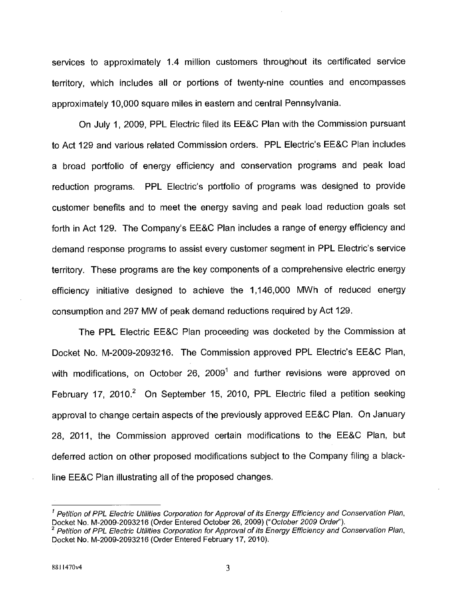services to approximately 1.4 million customers throughout its certificated service territory, which includes all or portions of twenty-nine counties and encompasses approximately 10,000 square miles in eastern and central Pennsylvania.

On July 1, 2009, PPL Electric filed its EE&C Plan with the Commission pursuant to Act 129 and various related Commission orders. PPL Electric's EE&C Plan includes a broad portfolio of energy efficiency and conservation programs and peak load reduction programs. PPL Electric's portfolio of programs was designed to provide customer benefits and to meet *the* energy saving and peak load reduction goals set forth in Act 129. The Company's EE&C Plan includes a range of energy efficiency and demand response programs to assist every customer segment in PPL Electric's service territory. These programs are the key components of a comprehensive electric energy efficiency initiative designed to achieve the 1,146,000 MWh of reduced energy consumption and 297 MW of peak demand reductions required by Act 129.

The PPL Electric EE&C Plan proceeding was docketed by the Commission at Docket No. M-2009-2093216. The Commission approved PPL Electric's EE&C Plan, with modifications, on October 26,  $2009<sup>1</sup>$  and further revisions were approved on February 17, 2010.<sup>2</sup> On September 15, 2010, PPL Electric filed a petition seeking approval to change certain aspects of the previously approved EE&C Plan. On January 28, 2011, the Commission approved certain modifications to the EE&C Plan, but deferred action on other proposed modifications subject to the Company filing a blackline EE&C Plan illustrating all of the proposed changes.

 $<sup>1</sup>$  Petition of PPL Electric Utilities Corporation for Approval of its Energy Efficiency and Conservation Plan,</sup> Docket No. M-2009-2093216 (Order Entered October 26, 2009) ("October 2009 Order").

 $2$  Petition of PPL Electric Utilities Corporation for Approval of its Energy Efficiency and Conservation Plan, Docket No. M-2009-2093216 (Order Entered February 17, 2010).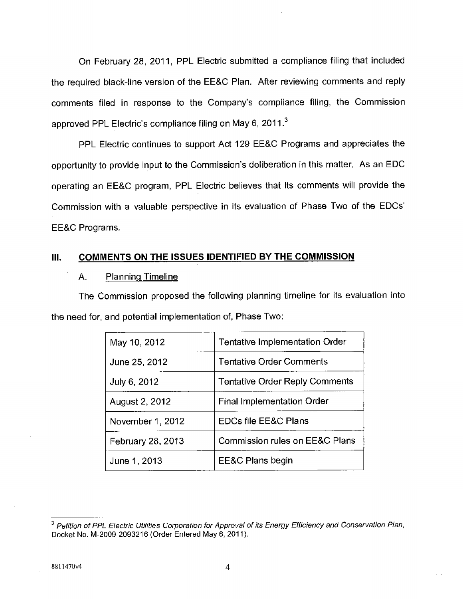On February 28, 2011, PPL Electric submitted a compliance filing that included the required black-line version of the EE&C Plan. After reviewing comments and reply comments filed in response to the Company's compliance filing, the Commission approved PPL Electric's compliance filing on May 6, 2011. $^3$ 

PPL Electric continues to support Act 129 EE&C Programs and appreciates the opportunity to provide input to the Commission's deliberation in this matter. As an EDC operating an EE&C program, PPL Electric believes that its comments will provide the Commission with a valuable perspective in its evaluation of Phase Two of the EDCs' EE&C Programs.

## Ill. **COMMENTS ON THE ISSUES IDENTIFIED BY THE COMMISSION**

#### A. Planning Timeline

The Commission proposed the following planning timeline for its evaluation into the need for, and potential implementation of, Phase Two:

| May 10, 2012      | <b>Tentative Implementation Order</b> |
|-------------------|---------------------------------------|
| June 25, 2012     | <b>Tentative Order Comments</b>       |
| July 6, 2012      | <b>Tentative Order Reply Comments</b> |
| August 2, 2012    | <b>Final Implementation Order</b>     |
| November 1, 2012  | <b>EDCs file EE&amp;C Plans</b>       |
| February 28, 2013 | Commission rules on EE&C Plans        |
| June 1, 2013      | EE&C Plans begin                      |

<sup>&</sup>lt;sup>3</sup> Petition of PPL Electric Utilities Corporation for Approval of its Energy Efficiency and Conservation Plan, Docket No. M-2009-2093216 (Order Entered May 6, 2011).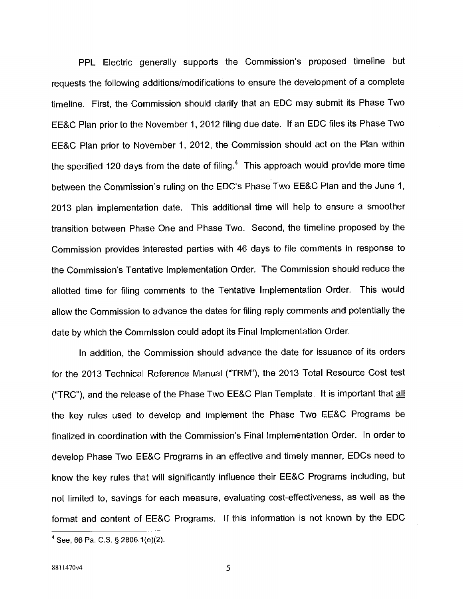PPL Electric generally supports the Commission's proposed timeline but requests the following additions/modifications to ensure the development of a complete timeline. First, the Commission should clarify that an EDC may submit its Phase Two EE&C Plan prior to the November 1, 2012 filing due date. If an EDC files its Phase Two EE&C Plan prior to November 1, 2012, the Commission should act on the Plan within the specified 120 days from the date of filing.<sup>4</sup> This approach would provide more time between the Commission's ruling on the EDC's Phase Two EE&C Plan and the June 1, 2013 plan implementation date. This additional time will help to ensure a smoother transition between Phase One and Phase Two. Second, the timeline proposed by the Commission provides interested parties with 46 days to file comments in response to the Commission's Tentative Implementation Order. The Commission should reduce the allotted time for filing comments to the Tentative Implementation Order. This would allow the Commission to advance the dates for filing reply comments and potentially the date by which the Commission could adopt its Final Implementation Order.

In addition, the Commission should advance the date for issuance of its orders for the 2013 Technical Reference Manual ("TRM"), the 2013 Total Resource Cost test ("TRC"), and the release of the Phase Two EE&C Plan Template. It is important that all the key rules used to develop and implement the Phase Two EE&C Programs be finalized in coordination with the Commission's Final Implementation Order. In order to develop Phase Two EE&C Programs in an effective and timely manner, EDCs need to know the key rules that will significantly influence their EE&C Programs including, but not limited to, savings for each measure, evaluating cost-effectiveness, as well as the format and content of EE&C Programs. If this information is not known by the EDC

See, 66 Pa. C.S. § 2806.1(e)(2).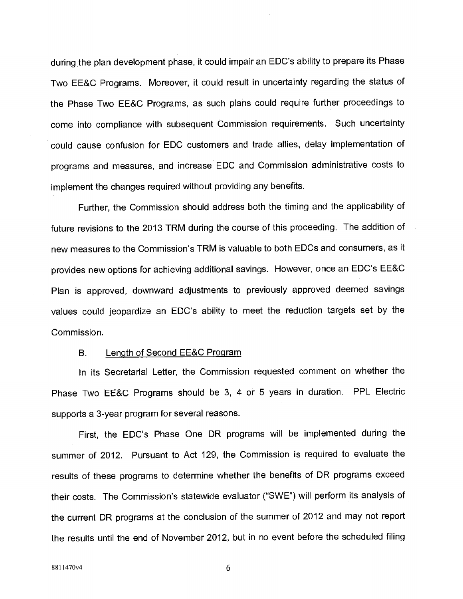during the plan development phase, it could impair an EDC's ability to prepare its Phase Two EE&C Programs. Moreover, it could result in uncertainty regarding the status of the Phase Two EE&C Programs, as such plans could require further proceedings to come into compliance with subsequent Commission requirements. Such uncertainty could cause confusion for EDC customers and trade allies, delay implementation of programs and measures, and increase EDC and Commission administrative costs to implement the changes required without providing any benefits.

Further, the Commission should address both the timing and the applicability of future revisions to the 2013 TRM during the course of this proceeding. The addition of new measures to the Commission's TRM is valuable to both EDCs and consumers, as it provides new options for achieving additional savings. However, once an EDC's EE&C Plan is approved, downward adjustments to previously approved deemed savings values could jeopardize an EDC's ability to meet the reduction targets set by the Commission.

#### B. Length of Second EE&C Program

In its Secretarial Letter, the Commission requested comment on whether the Phase Two EE&C Programs should be 3, 4 or 5 years in duration. PPL Electric supports a 3-year program for several reasons.

First, the EDC's Phase One DR programs will be implemented during the summer of 2012. Pursuant to Act 129, the Commission is required to evaluate the results of these programs to determine whether the benefits of DR programs exceed their costs. The Commission's statewide evaluator ("SWE") will perform its analysis of the current DR programs at the conclusion of the summer of 2012 and may not report the results until the end of November 2012, but in no event before the scheduled filing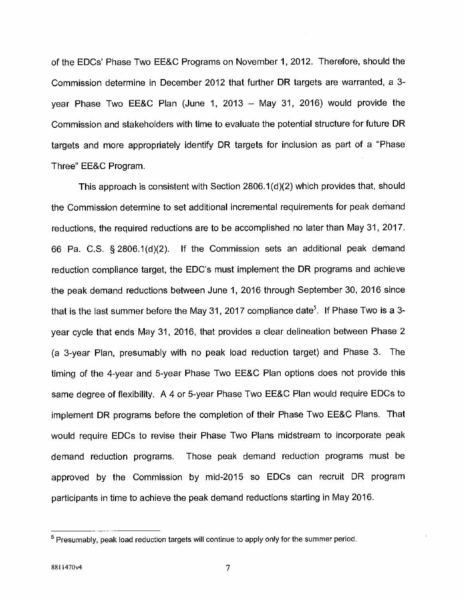of the EDCs' Phase Two EE&C Programs on November 1, 2012. Therefore, should the Commission determine in December 2012 that further DR targets are warranted, a 3 year Phase Two EE&C Plan (June 1, 2013  $-$  May 31, 2016) would provide the Commission and stakeholders with time to evaluate the potential structure for future DR targets and more appropriately identify DR targets for inclusion as part of a "Phase Three" EE&C Program.

This approach is consistent with Section 2806.1(d)(2) which provides that, should the Commission determine to set additional incremental requirements for peak demand reductions, the required reductions are to be accomplished no later than May 31, 2017. 66 Pa. C.S. § 2806.1(d)(2). If the Commission sets an additional peak demand reduction compliance target, the EDC's must implement the DR programs and achieve the peak demand reductions between June 1, 2016 through September 30, 2016 since that is the last summer before the May 31, 2017 compliance date<sup>5</sup>. If Phase Two is a 3year cycle that ends May 31, 2016, that provides a clear delineation between Phase 2 (a 3-year Plan, presumably with no peak load reduction target) and Phase 3. The timing of the 4-year and 5-year Phase Two EE&C Plan options does not provide this same degree of flexibility. A 4 or 5-year Phase Two EE&C Plan would require EDCs to implement DR programs before the completion of their Phase Two EE&C Plans. That would require EDCs to revise their Phase Two Plans midstream to incorporate peak demand reduction programs. Those peak demand reduction programs must be approved by the Commission by mid-2015 so EDCs can recruit DR program participants in time to achieve the peak demand reductions starting in May 2016.

<sup>&</sup>lt;sup>5</sup> Presumably, peak load reduction targets will continue to apply only for the summer period.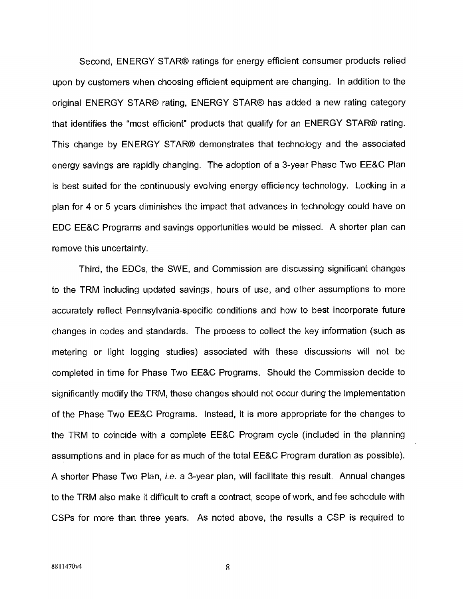Second, ENERGY STAR® ratings for energy efficient consumer products relied upon by customers when choosing efficient equipment are changing. In addition to the original ENERGY STAR® rating, ENERGY STAR® has added a new rating category that identifies the "most efficient" products that qualify for an ENERGY STAR® rating. This change by ENERGY STAR® demonstrates that technology and the associated energy savings are rapidly changing. The adoption of a 3-year Phase Two EE&C Plan is best suited for the continuously evolving energy efficiency technology. Locking in a plan for 4 or 5 years diminishes the impact that advances in technology could have on EDC EE&C Programs and savings opportunities would be missed. A shorter plan can remove this uncertainty.

Third, the EDCs, the SWE, and Commission are discussing significant changes to the TRM including updated savings, hours of use, and other assumptions to more accurately reflect Pennsylvania-specific conditions and how to best incorporate future changes in codes and standards. The process to collect the key information (such as metering or light logging studies) associated with these discussions will not be completed in time for Phase Two EE&C Programs. Should the Commission decide to significantly modify the TRM, these changes should not occur during the implementation of the Phase Two EE&C Programs. Instead, it is more appropriate for the changes to the TRM to coincide with a complete EE&C Program cycle (included in the planning assumptions and in place for as much of the total EE&C Program duration as possible). A shorter Phase Two Plan, *i.e.* a 3-year plan, will facilitate this result. Annual changes to the TRM also make it difficult to craft a contract, scope of work, and fee schedule with CSPs for more than three years. As noted above, the results a CSP is required to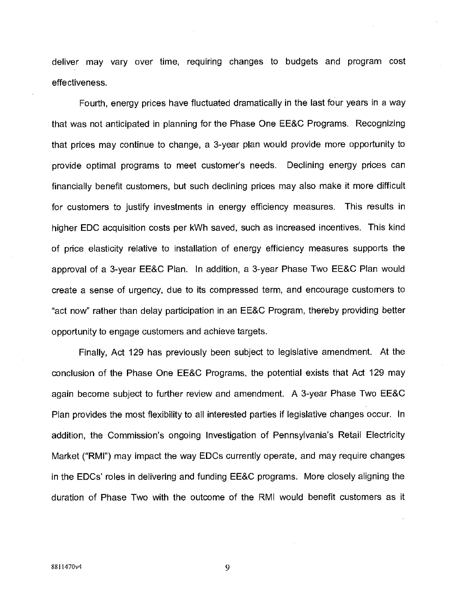deliver may vary over time, requiring changes to budgets and program cost effectiveness.

Fourth, energy prices have fluctuated dramatically in the last four years in a way that was not anticipated in planning for the Phase One EE&C Programs. Recognizing that prices may continue to change, a 3-year plan would provide more opportunity to provide optimal programs to meet customer's needs. Declining energy prices can financially benefit customers, but such declining prices may also make it more difficult for customers to justify investments in energy efficiency measures. This results in higher EDC acquisition costs per kWh saved, such as increased incentives. This kind of price elasticity relative to installation of energy efficiency measures supports the approval of a 3-year EE&C Plan. In addition, a 3-year Phase Two EE&C Plan would create a sense of urgency, due to its compressed term, and encourage customers to "act now" rather than delay participation in an EE&C Program, thereby providing better opportunity to engage customers and achieve targets.

Finally, Act 129 has previously been subject to legislative amendment. At the conclusion of the Phase One EE&C Programs, the potential exists that Act 129 may again become subject to further review and amendment. A 3-year Phase Two EE&C Plan provides the most flexibility to all interested parties if legislative changes occur. In addition, the Commission's ongoing Investigation of Pennsylvania's Retail Electricity Market ("RMI") may impact the way EDCs currently operate, and may require changes in the EDCs' roles in delivering and funding EE&C programs. More closely aligning the duration of Phase Two with the outcome of the RMI would benefit customers as it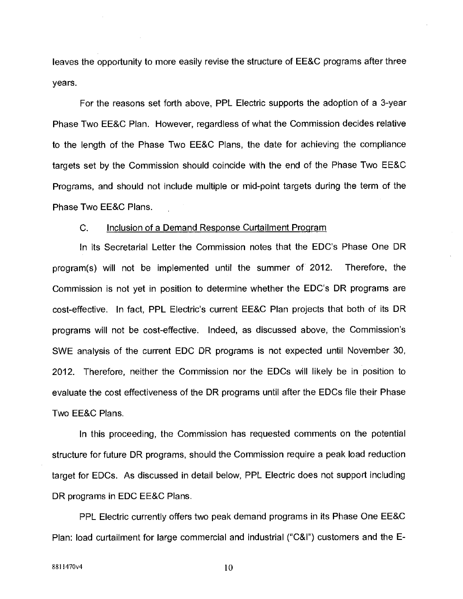leaves the opportunity to more easily revise the structure of EE&C programs after three years.

For the reasons set forth above, PPL Electric supports the adoption of a 3-year Phase Two EE&C Plan. However, regardless of what the Commission decides relative to the length of the Phase Two EE&C Plans, the date for achieving the compliance targets set by the Commission should coincide with the end of the Phase Two EE&C Programs, and should not include multiple or mid-point targets during the term of the Phase Two EE&C Plans.

#### C. Inclusion of a Demand Response Curtailment Program

In its Secretarial Letter the Commission notes that the EDC's Phase One DR program(s) will not be implemented until the summer of 2012. Therefore, the Commission is not yet in position to determine whether the EDC's DR programs are cost-effective. In fact, PPL Electric's current EE&C Plan projects that both of its DR programs will not be cost-effective. Indeed, as discussed above, the Commission's SWE analysis of the current EDC DR programs is not expected until November 30, 2012. Therefore, neither the Commission nor the EDCs will likely be in position to evaluate the cost effectiveness of the DR programs until after the EDCs file their Phase Two EE&C Plans.

In this proceeding, the Commission has requested comments on the potential structure for future DR programs, should the Commission require a peak load reduction target for EDCs. As discussed in detail below, PPL Electric does not support including DR programs in EDC EE&C Plans.

PPL Electric currently offers two peak demand programs in its Phase One EE&C Plan: load curtailment for large commercial and industrial ("C&l") customers and the E-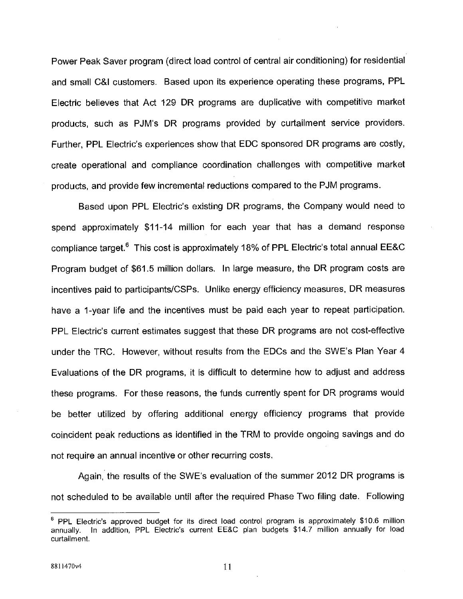Power Peak Saver program (direct load control of central air conditioning) for residential and small C&l customers. Based upon its experience operating these programs, PPL Electric believes that Act 129 DR programs are duplicative with competitive market products, such as PJM's DR programs provided by curtailment service providers. Further, PPL Electric's experiences show that EDC sponsored DR programs are costly, create operational and compliance coordination challenges with competitive market products, and provide few incremental reductions compared to the PJM programs.

Based upon PPL Electric's existing DR programs, the Company would need to spend approximately \$11-14 million for each year that has a demand response compliance target. $6$  This cost is approximately 18% of PPL Electric's total annual EE&C Program budget of \$61.5 million dollars. In large measure, the DR program costs are incentives paid to participants/CSPs. Unlike energy efficiency measures, DR measures have a 1-year life and the incentives must be paid each year to repeat participation. PPL Electric's current estimates suggest that these DR programs are not cost-effective under the TRC. However, without results from the EDCs and the SWE's Plan Year 4 Evaluations of the DR programs, it is difficult to determine how to adjust and address these programs. For these reasons, the funds currently spent for DR programs would be better utilized by offering additional energy efficiency programs that provide coincident peak reductions as identified in the TRM to provide ongoing savings and do not require an annual incentive or other recurring costs,

Again, the results of the SWE's evaluation of the summer 2012 DR programs is not scheduled to be available until after the required Phase Two filing date. Following

 $6$  PPL Electric's approved budget for its direct load control program is approximately \$10.6 million annually. In addition, PPL Electric's current EE&C plan budgets \$14.7 million annually for load curtailment.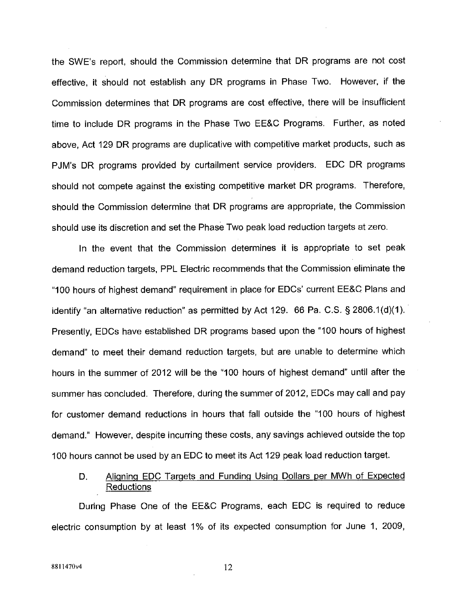the SWE's report, should the Commission determine that DR programs are not cost effective, it should not establish any DR programs in Phase Two. However, if the Commission determines that DR programs are cost effective, there will be insufficient time to include DR programs in the Phase Two EE&C Programs. Further, as noted above, Act 129 DR programs are duplicative with competitive market products, such as PJM's DR programs provided by curtailment service providers. EDC DR programs should not compete against the existing competitive market DR programs. Therefore, should the Commission determine that DR programs are appropriate, the Commission should use its discretion and set the Phase Two peak load reduction targets at zero.

In the event that the Commission determines it is appropriate to set peak demand reduction targets, PPL Electric recommends that the Commission eliminate the "100 hours of highest demand" requirement in place for EDCs' current EE&C Plans and identify 'an alternative reduction" as permitted by Act 129. 66 Pa. C.S. § 2806.1(d)(1). Presently, EDCs have established DR programs based upon the "100 hours of highest demand' to meet their demand reduction targets, but are unable to determine which hours in the summer of 2012 will be the "100 hours of highest demand" until after the summer has concluded. Therefore, during the summer of 2012, EDCs may call and pay for customer demand reductions in hours that fall outside the '100 hours of highest demand." However, despite incurring these costs, any savings achieved outside the top 100 hours cannot be used by an EDC to meet its Act 129 peak load reduction target.

D. Aligning EDC Targets and Funding Using Dollars per MWh of Expected Reductions

During Phase One of the EE&C Programs, each EDC is required to reduce electric consumption by at least 1% of its expected consumption for June 1, 2009,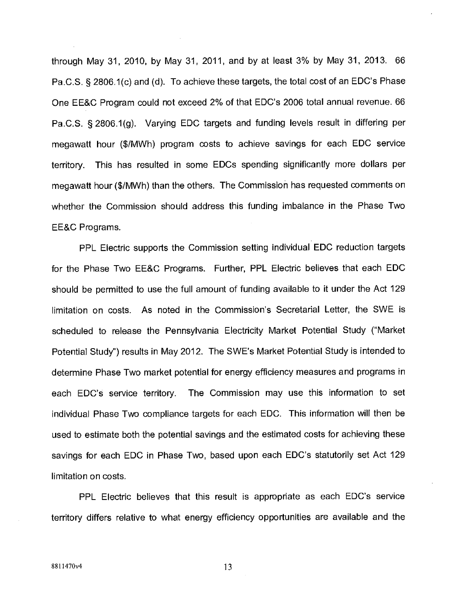through May 31, 2010, by May 31, 2011, and by at least 3% by May 31, 2013. 66 Pa.C.S. § 2806.1(c) and (d). To achieve these targets, the total cost of an EDC's Phase One EE&C Program could not exceed 2% of that EDC's 2006 total annual revenue. 66 Pa.C.S. § 2806.1(g). Varying EDC targets and funding levels result in differing per megawatt hour (\$/MWh) program costs to achieve savings for each EDC service territory. This has resulted in some EDCs spending significantly more dollars per megawatt hour (\$/MWh) than the others. The Commission has requested comments on whether the Commission should address this funding imbalance in the Phase Two EE&C Programs.

PPL Electric supports the Commission setting individual EDC reduction targets for the Phase Two EE&C Programs. Further, PPL Electric believes that each EDC should be permitted to use the full amount of funding available to it under the Act 129 limitation on costs. As noted in the Commission's Secretarial Letter, the SWE is scheduled to release the Pennsylvania Electricity Market Potential Study ('Market Potential Study') results in May 2012. The SWE's Market Potential Study is intended to determine Phase Two market potential for energy efficiency measures and programs in each EDC's service territory. The Commission may use this information to set individual Phase Two compliance targets for each EDC. This information will then be used to estimate both the potential savings and the estimated costs for achieving these savings for each EDC in Phase Two, based upon each EDC's statutorily set Act 129 limitation on costs.

PPL Electric believes that this result is appropriate as each EDC's service territory differs relative to what energy efficiency opportunities are available and the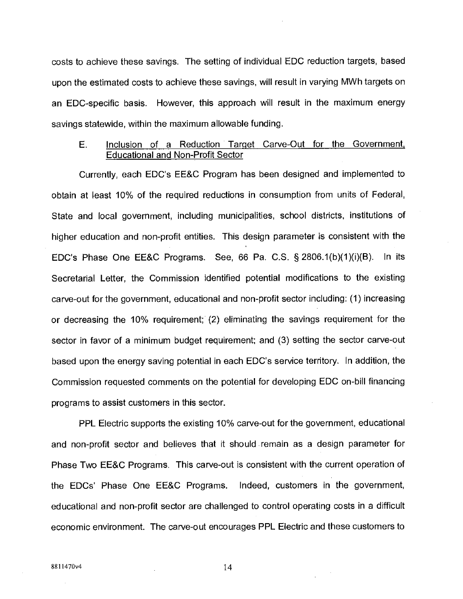costs to achieve these savings. The setting of individual EDC reduction targets, based upon the estimated costs to achieve these savings, will result in varying MWh targets on an EDC-specific basis. However, this approach will result in the maximum energy savings statewide, within the maximum allowable funding.

## E. Inclusion of a Reduction Target Carve-Out for the Government, Educational and Non-Profit Sector

Currently, each EDC's EE&C Program has been designed and implemented to obtain at least 10% of the required reductions in consumption from units of Federal, State and local government, including municipalities, school districts, institutions of higher education and non-profit entities. This design parameter is consistent with the EDC's Phase One EE&C Programs. See, 66 Pa. C.S. § 2806.1(b)(1)(i)(B). In its Secretarial Letter, the Commission identified potential modifications to the existing carve-out for the government, educational and non-profit sector including: (1) increasing or decreasing the 10% requirement; (2) eliminating the savings requirement for the sector in favor of a minimum budget requirement; and (3) setting the sector carve-out based upon the energy saving potential in each EDC's service territory. In addition, the Commission requested comments on the potential for developing EDC on-bill financing programs to assist customers in this sector.

PPL Electric supports the existing 10% carve-out for the government, educational and non-profit sector and believes that it should remain as a design parameter for Phase Two EE&C Programs. This carve-out is consistent with the current operation of the EDCs' Phase One EE&C Programs. Indeed, customers in the government, educational and non-profit sector are challenged to control operating costs in a difficult economic environment. The carve-out encourages PPL Electric and these customers to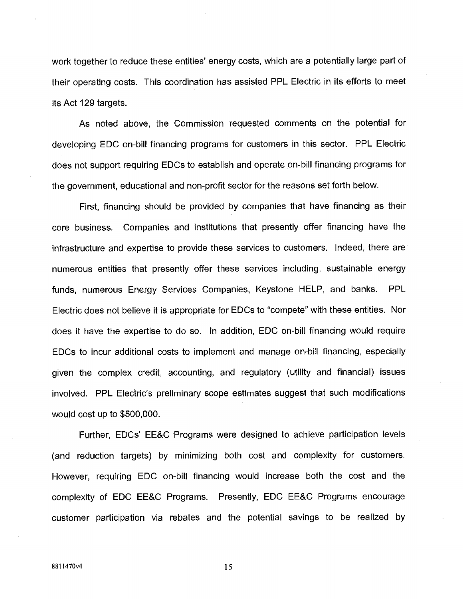work together to reduce these entities' energy costs, which are a potentially large part of their operating costs. This coordination has assisted PPL Electric in its efforts to meet its Act 129 targets.

As noted above, the Commission requested comments on the potential for developing EDC on-bill financing programs for customers in this sector. PPL Electric does not support requiring EDCs to establish and operate on-bill financing programs for the government, educational and non-profit sector for the reasons set forth below.

First, financing should be provided by companies that have financing as their core business. Companies and institutions that presently offer financing have the infrastructure and expertise to provide these services to customers. Indeed, there are numerous entities that presently offer these services including, sustainable energy funds, numerous Energy Services Companies, Keystone HELP, and banks. PPL Electric does not believe it is appropriate for EDCs to "compete" with these entities. Nor does it have the expertise to do so. In addition, EDC on-bill financing would require EDCs to incur additional costs to implement and manage on-bill financing, especially given the complex credit, accounting, and regulatory (utility and financial) issues involved. PPL Electric's preliminary scope estimates suggest that such modifications would cost up to \$500,000.

Further, EDCs' EE&C Programs were designed to achieve participation levels (and reduction targets) by minimizing both cost and complexity for customers. However, requiring EDC on-bill financing would increase both the cost and the complexity of EDC EE&C Programs. Presently, EDC EE&C Programs encourage customer participation via rebates and the potential savings to be realized by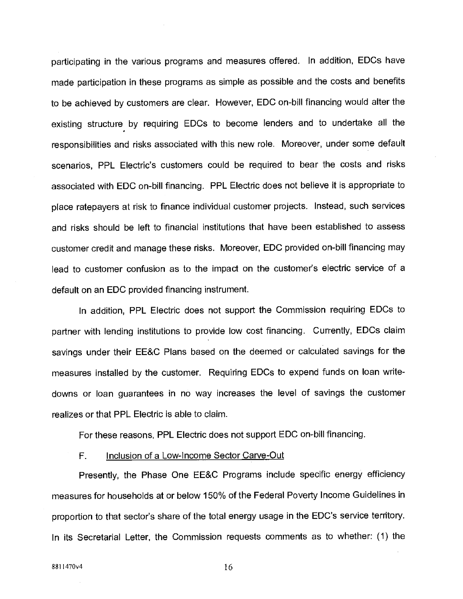participating in the various programs and measures offered. In addition, EDCs have made participation in these programs as simple as possible and the costs and benefits to be achieved by customers are clear. However, EDC on-bill financing would alter the existing structure by requiring EDCs to become lenders and to undertake all the responsibilities and risks associated with this new role. Moreover, under some default scenarios, PPL Electric's customers could be required to bear the costs and risks associated with EDC on-bill financing. PPL Electric does not believe it is appropriate to place ratepayers at risk to finance individual customer projects. Instead, such services and risks should be left to financial institutions that have been established to assess customer credit and manage these risks. Moreover, EDC provided on-bill financing may lead to customer confusion as to the impact on the customer's electric service of a default on an EDC provided financing instrument.

In addition, PPL Electric does not support the Commission requiring EDCs to partner with lending institutions to provide low cost financing. Currently, EDCs claim savings under their EE&C Plans based on the deemed or calculated savings for the measures installed by the customer. Requiring EDCs to expend funds on loan writedowns or loan guarantees in no way increases the level of savings the customer realizes or that PPL Electric is able to claim.

For these reasons, PPL Electric does not support EDC on-bill financing.

## F. **Inclusion of a Low-Income Sector Carve-Out**

Presently, the Phase One EE&C Programs include specific energy efficiency measures for households at or below 150% of the Federal Poverty Income Guidelines in proportion to that sector's share of the total energy usage in the EDC's service territory. In its Secretarial Letter, the Commission requests comments as to whether: (1) the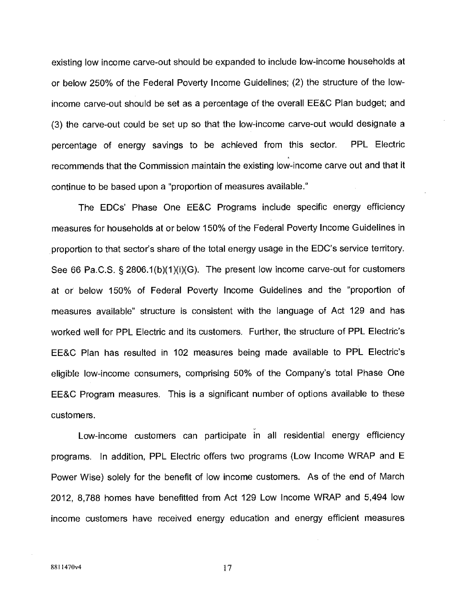existing low income carve-out should be expanded to include low-income households at or below 250% of the Federal Poverty Income Guidelines; (2) the structure of the lowincome carve-out should be set as a percentage of the overall EE&C Plan budget; and (3) the carve-out could be set up so that the low-income carve-out would designate a percentage of energy savings to be achieved from this sector. PPL Electric recommends that the Commission maintain the existing low-income carve out and that it continue to be based upon a "proportion of measures available."

The EDCs' Phase One EE&C Programs include specific energy efficiency measures for households at or below 150% of the Federal Poverty Income Guidelines in proportion to that sector's share of the total energy usage in the EDC's service territory. See 66 Pa.C.S. § 2806.1(b)(1)(i)(G). The present low income carve-out for customers at or below 150% of Federal Poverty Income Guidelines and the 'proportion of measures available" structure is consistent with the language of Act 129 and has worked well for PPL Electric and its customers. Further, the structure of PPL Electric's EE&C Plan has resulted in 102 measures being made available to PPL Electric's eligible low-income consumers, comprising 50% of the Company's total Phase One EE&C Program measures. This is a significant number of options available to these customers.

Low-income customers can participate in all residential energy efficiency programs. In addition, PPL Electric offers two programs (Low Income WRAP and E Power Wise) solely for the benefit of low income customers. As of the end of March 2012, 8,788 homes have benefitted from Act 129 Low Income WRAP and 5,494 low income customers have received energy education and energy efficient measures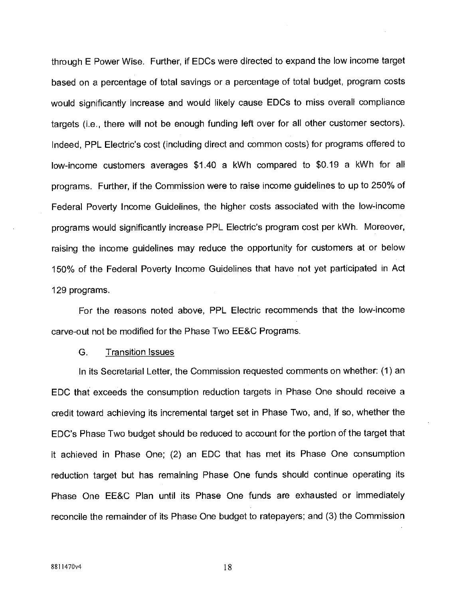through F Power Wise. Further, if EDCs were directed to expand the low income target based on a percentage of total savings or a percentage of total budget, program costs would significantly increase and would likely cause EDCs to miss overall compliance targets (i.e., there will not be enough funding left over for all other customer sectors). Indeed, PPL Electric's cost (including direct and common costs) for programs offered to low-income customers averages \$1.40 a kWh compared to \$0.19 a kWh for all programs. Further, if the Commission were to raise income guidelines to up to 250% of Federal Poverty Income Guidelines, the higher costs associated with the low-income programs would significantly increase PPL Electric's program cost per kWh. Moreover, raising the income guidelines may reduce the opportunity for customers at or below 150% of the Federal Poverty Income Guidelines that have not yet participated in Act 129 programs.

For the reasons noted above, PPL Electric recommends that the low-income carve-out not be modified for the Phase Two EE&C Programs.

#### G. Transition Issues

In its Secretarial Letter, the Commission requested comments on whether: (1) an EDC that exceeds the consumption reduction targets in Phase One should receive a credit toward achieving its incremental target set in Phase Two, and, if so, whether the EDC's Phase Two budget should be reduced to account for the portion of the target that it achieved in Phase One; (2) an EDC that has met its Phase One consumption reduction target but has remaining Phase One funds should continue operating its Phase One EE&C Plan until its Phase One funds are exhausted or immediately reconcile the remainder of its Phase One budget to ratepayers; and (3) the Commission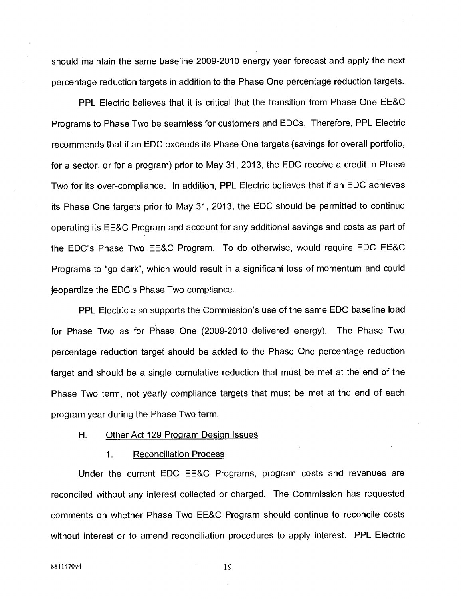should maintain the same baseline 2009-2010 energy year forecast and apply the next percentage reduction targets in addition to the Phase One percentage reduction targets.

PPL Electric believes that it is critical that the transition from Phase One EE&C Programs to Phase Two be seamless for customers and EDCs. Therefore, PPL Electric recommends that if an EDC exceeds its Phase One targets (savings for overall portfolio, for a sector, or for a program) prior to May 31, 2013, the EDC receive a credit in Phase Two for its over-compliance. In addition, PPL Electric believes that if an EDC achieves its Phase One targets prior to May 31, 2013, the EDC should be permitted to continue operating its EE&C Program and account for any additional savings and costs as part of the EDC's Phase Two EE&C Program. To do otherwise, would require EDC EE&C Programs to "go dark', which would result in a significant loss of momentum and could jeopardize the EDC's Phase Two compliance.

PPL Electric also supports the Commission's use of the same EDC baseline load for Phase Two as for Phase One (2009-2010 delivered energy). The Phase Two percentage reduction target should be added to the Phase One percentage reduction target and should be a single cumulative reduction that must be met at the end of the Phase Two term, not yearly compliance targets that must be met at the end of each program year during the Phase Two term.

# H. Other Act 129 Program Design Issues

#### 1. Reconciliation Process

Under the current EDC EE&C Programs, program costs and revenues are reconciled without any interest collected or charged. The Commission has requested comments on whether Phase Two EE&C Program should continue to reconcile costs without interest or to amend reconciliation procedures to apply interest. PPL Electric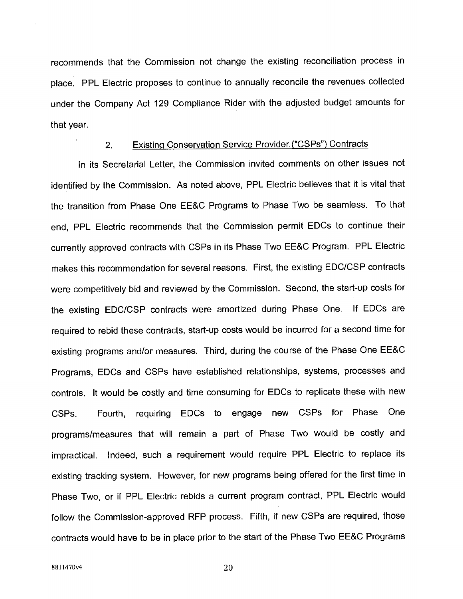recommends that the Commission not change the existing reconciliation process in place. PPL Electric proposes to continue to annually reconcile the revenues collected under the Company Act 129 Compliance Rider with the adjusted budget amounts for that year.

# 2. Existing Conservation Service Provider. ("CSPs") Contracts

In its Secretarial Letter, the Commission invited comments on other issues not identified by the Commission. As noted above, PPL Electric believes that it is vital that the transition from Phase One EE&C Programs to Phase Two be seamless. To that end, PPL Electric recommends that the Commission permit EDCs to continue their currently approved contracts with CSPs in its Phase Two EE&C Program. PPL Electric makes this recommendation for several reasons. First, the existing EDC/CSP contracts were competitively bid and reviewed by the Commission. Second, the start-up costs for the existing EDC/CSP contracts were amortized during Phase One. If EDCs are required to rebid these contracts, start-up costs would be incurred for a second time for existing programs and/or measures. Third, during the course of the Phase One EE&C Programs, EDCs and CSPs have established relationships, systems, processes and controls. It would be costly and time consuming for EDCs to replicate these with new CSPs. Fourth, requiring EDCs to engage new CSPs for Phase One programs/measures that will remain a part of Phase Two would be costly and impractical. Indeed, such a requirement would require PPL Electric to replace its existing tracking system. However, for new programs being offered for the first time in Phase Two, or if PPL Electric rebids a current program contract, PPL Electric would follow the Commission-approved RFP process. Fifth, if new CSPs are required, those contracts would have to be in place prior to the start of the Phase Two EE&C Programs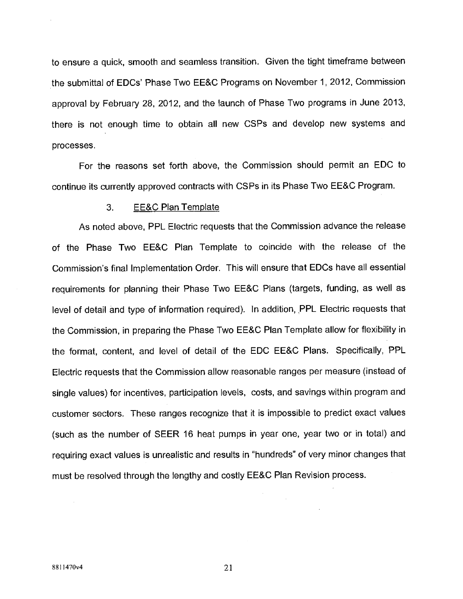to ensure a quick, smooth and seamless transition. Given the tight timeframe between the submittal of EDCs' Phase Two EE&C Programs on November 1, 2012, Commission approval by February 28, 2012, and the launch of Phase Two programs in June 2013, there is not enough time to obtain all new CSPs and develop new systems and processes.

For the reasons set forth above, the Commission should permit an EDC to continue its currently approved contracts with CSPs in its Phase Two EE&C Program.

#### 3. EE&C Plan Template

As noted above, PPL Electric requests that the Commission advance the release of the Phase Two EE&C Plan Template to coincide with the release of the Commission's final Implementation Order. This will ensure that EDC5 have all essential requirements for planning their Phase Two EE&C Plans (targets, funding, as well as level of detail and type of information required). In addition, PPL Electric requests that the Commission, in preparing the Phase Two EE&C Plan Template allow for flexibility in the format, content, and level of detail of the EDC EE&C Plans. Specifically, PPL Electric requests that the Commission allow reasonable ranges per measure (instead of single values) for incentives, participation levels, costs, and savings within program and customer sectors. These ranges recognize that it is impossible to predict exact values (such as the number of SEER 16 heat pumps in year one, year two or in total) and requiring exact values is unrealistic and results in 'hundreds" of very minor changes that must be resolved through the lengthy and costly EE&C Plan Revision process.